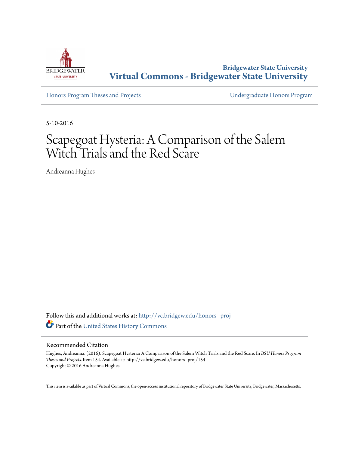

**Bridgewater State University [Virtual Commons - Bridgewater State University](http://vc.bridgew.edu?utm_source=vc.bridgew.edu%2Fhonors_proj%2F154&utm_medium=PDF&utm_campaign=PDFCoverPages)**

[Honors Program Theses and Projects](http://vc.bridgew.edu/honors_proj?utm_source=vc.bridgew.edu%2Fhonors_proj%2F154&utm_medium=PDF&utm_campaign=PDFCoverPages) [Undergraduate Honors Program](http://vc.bridgew.edu/honors?utm_source=vc.bridgew.edu%2Fhonors_proj%2F154&utm_medium=PDF&utm_campaign=PDFCoverPages)

5-10-2016

# Scapegoat Hysteria: A Comparison of the Salem Witch Trials and the Red Scare

Andreanna Hughes

Follow this and additional works at: [http://vc.bridgew.edu/honors\\_proj](http://vc.bridgew.edu/honors_proj?utm_source=vc.bridgew.edu%2Fhonors_proj%2F154&utm_medium=PDF&utm_campaign=PDFCoverPages) Part of the [United States History Commons](http://network.bepress.com/hgg/discipline/495?utm_source=vc.bridgew.edu%2Fhonors_proj%2F154&utm_medium=PDF&utm_campaign=PDFCoverPages)

#### Recommended Citation

Hughes, Andreanna. (2016). Scapegoat Hysteria: A Comparison of the Salem Witch Trials and the Red Scare. In *BSU Honors Program Theses and Projects.* Item 154. Available at: http://vc.bridgew.edu/honors\_proj/154 Copyright © 2016 Andreanna Hughes

This item is available as part of Virtual Commons, the open-access institutional repository of Bridgewater State University, Bridgewater, Massachusetts.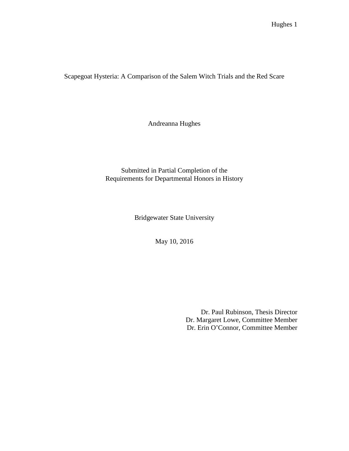Scapegoat Hysteria: A Comparison of the Salem Witch Trials and the Red Scare

Andreanna Hughes

Submitted in Partial Completion of the Requirements for Departmental Honors in History

Bridgewater State University

May 10, 2016

Dr. Paul Rubinson, Thesis Director Dr. Margaret Lowe, Committee Member Dr. Erin O'Connor, Committee Member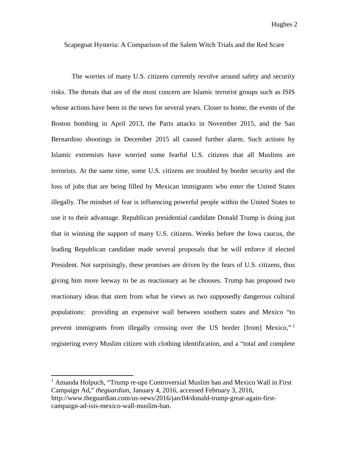Scapegoat Hysteria: A Comparison of the Salem Witch Trials and the Red Scare

The worries of many U.S. citizens currently revolve around safety and security risks. The threats that are of the most concern are Islamic terrorist groups such as ISIS whose actions have been in the news for several years. Closer to home, the events of the Boston bombing in April 2013, the Paris attacks in November 2015, and the San Bernardino shootings in December 2015 all caused further alarm. Such actions by Islamic extremists have worried some fearful U.S. citizens that all Muslims are terrorists. At the same time, some U.S. citizens are troubled by border security and the loss of jobs that are being filled by Mexican immigrants who enter the United States illegally. The mindset of fear is influencing powerful people within the United States to use it to their advantage. Republican presidential candidate Donald Trump is doing just that in winning the support of many U.S. citizens. Weeks before the Iowa caucus, the leading Republican candidate made several proposals that he will enforce if elected President. Not surprisingly, these promises are driven by the fears of U.S. citizens, thus giving him more leeway to be as reactionary as he chooses. Trump has proposed two reactionary ideas that stem from what he views as two supposedly dangerous cultural populations: providing an expensive wall between southern states and Mexico "to prevent immigrants from illegally crossing over the US border [from] Mexico," registering every Muslim citizen with clothing identification, and a "total and complete

<span id="page-2-0"></span><sup>&</sup>lt;sup>1</sup> Amanda Holpuch, "Trump re-ups Controversial Muslim ban and Mexico Wall in First Campaign Ad," *theguardian*, January 4, 2016, accessed February 3, 2016, http://www.theguardian.com/us-news/2016/jan/04/donald-trump-great-again-firstcampaign-ad-isis-mexico-wall-muslim-ban.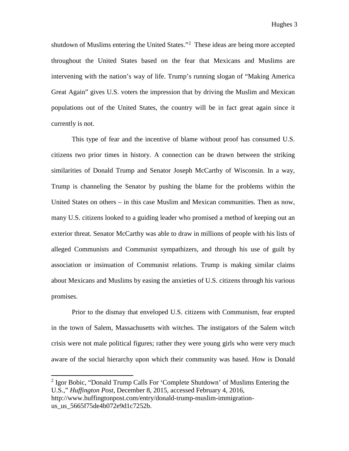shutdown of Muslims entering the United States."[2](#page-3-0) These ideas are being more accepted throughout the United States based on the fear that Mexicans and Muslims are intervening with the nation's way of life. Trump's running slogan of "Making America Great Again" gives U.S. voters the impression that by driving the Muslim and Mexican populations out of the United States, the country will be in fact great again since it currently is not.

This type of fear and the incentive of blame without proof has consumed U.S. citizens two prior times in history. A connection can be drawn between the striking similarities of Donald Trump and Senator Joseph McCarthy of Wisconsin. In a way, Trump is channeling the Senator by pushing the blame for the problems within the United States on others – in this case Muslim and Mexican communities. Then as now, many U.S. citizens looked to a guiding leader who promised a method of keeping out an exterior threat. Senator McCarthy was able to draw in millions of people with his lists of alleged Communists and Communist sympathizers, and through his use of guilt by association or insinuation of Communist relations. Trump is making similar claims about Mexicans and Muslims by easing the anxieties of U.S. citizens through his various promises.

Prior to the dismay that enveloped U.S. citizens with Communism, fear erupted in the town of Salem, Massachusetts with witches. The instigators of the Salem witch crisis were not male political figures; rather they were young girls who were very much aware of the social hierarchy upon which their community was based. How is Donald

<span id="page-3-0"></span><sup>&</sup>lt;sup>2</sup> Igor Bobic, "Donald Trump Calls For 'Complete Shutdown' of Muslims Entering the U.S.," *Huffington Post*, December 8, 2015, accessed February 4, 2016, http://www.huffingtonpost.com/entry/donald-trump-muslim-immigrationus\_us\_5665f75de4b072e9d1c7252b.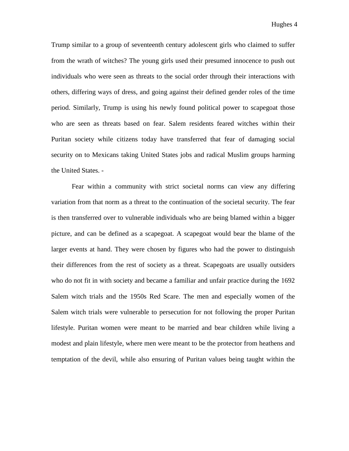Trump similar to a group of seventeenth century adolescent girls who claimed to suffer from the wrath of witches? The young girls used their presumed innocence to push out individuals who were seen as threats to the social order through their interactions with others, differing ways of dress, and going against their defined gender roles of the time period. Similarly, Trump is using his newly found political power to scapegoat those who are seen as threats based on fear. Salem residents feared witches within their Puritan society while citizens today have transferred that fear of damaging social security on to Mexicans taking United States jobs and radical Muslim groups harming the United States. -

Fear within a community with strict societal norms can view any differing variation from that norm as a threat to the continuation of the societal security. The fear is then transferred over to vulnerable individuals who are being blamed within a bigger picture, and can be defined as a scapegoat. A scapegoat would bear the blame of the larger events at hand. They were chosen by figures who had the power to distinguish their differences from the rest of society as a threat. Scapegoats are usually outsiders who do not fit in with society and became a familiar and unfair practice during the 1692 Salem witch trials and the 1950s Red Scare. The men and especially women of the Salem witch trials were vulnerable to persecution for not following the proper Puritan lifestyle. Puritan women were meant to be married and bear children while living a modest and plain lifestyle, where men were meant to be the protector from heathens and temptation of the devil, while also ensuring of Puritan values being taught within the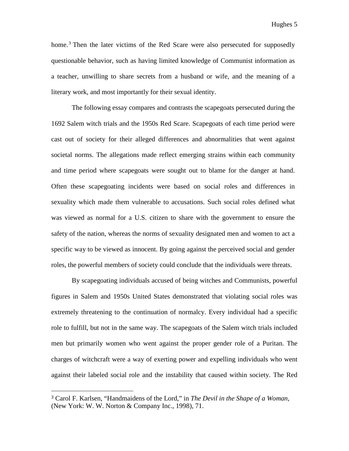Hughes 5

home.<sup>[3](#page-5-0)</sup> Then the later victims of the Red Scare were also persecuted for supposedly questionable behavior, such as having limited knowledge of Communist information as a teacher, unwilling to share secrets from a husband or wife, and the meaning of a literary work, and most importantly for their sexual identity.

The following essay compares and contrasts the scapegoats persecuted during the 1692 Salem witch trials and the 1950s Red Scare. Scapegoats of each time period were cast out of society for their alleged differences and abnormalities that went against societal norms. The allegations made reflect emerging strains within each community and time period where scapegoats were sought out to blame for the danger at hand. Often these scapegoating incidents were based on social roles and differences in sexuality which made them vulnerable to accusations. Such social roles defined what was viewed as normal for a U.S. citizen to share with the government to ensure the safety of the nation, whereas the norms of sexuality designated men and women to act a specific way to be viewed as innocent. By going against the perceived social and gender roles, the powerful members of society could conclude that the individuals were threats.

By scapegoating individuals accused of being witches and Communists, powerful figures in Salem and 1950s United States demonstrated that violating social roles was extremely threatening to the continuation of normalcy. Every individual had a specific role to fulfill, but not in the same way. The scapegoats of the Salem witch trials included men but primarily women who went against the proper gender role of a Puritan. The charges of witchcraft were a way of exerting power and expelling individuals who went against their labeled social role and the instability that caused within society. The Red

<span id="page-5-0"></span> <sup>3</sup> Carol F. Karlsen, "Handmaidens of the Lord," in *The Devil in the Shape of a Woman,*  (New York: W. W. Norton & Company Inc., 1998), 71.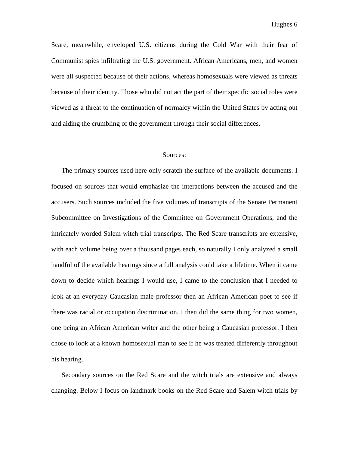Scare, meanwhile, enveloped U.S. citizens during the Cold War with their fear of Communist spies infiltrating the U.S. government. African Americans, men, and women were all suspected because of their actions, whereas homosexuals were viewed as threats because of their identity. Those who did not act the part of their specific social roles were viewed as a threat to the continuation of normalcy within the United States by acting out and aiding the crumbling of the government through their social differences.

#### Sources:

The primary sources used here only scratch the surface of the available documents. I focused on sources that would emphasize the interactions between the accused and the accusers. Such sources included the five volumes of transcripts of the Senate Permanent Subcommittee on Investigations of the Committee on Government Operations, and the intricately worded Salem witch trial transcripts. The Red Scare transcripts are extensive, with each volume being over a thousand pages each, so naturally I only analyzed a small handful of the available hearings since a full analysis could take a lifetime. When it came down to decide which hearings I would use, I came to the conclusion that I needed to look at an everyday Caucasian male professor then an African American poet to see if there was racial or occupation discrimination. I then did the same thing for two women, one being an African American writer and the other being a Caucasian professor. I then chose to look at a known homosexual man to see if he was treated differently throughout his hearing.

Secondary sources on the Red Scare and the witch trials are extensive and always changing. Below I focus on landmark books on the Red Scare and Salem witch trials by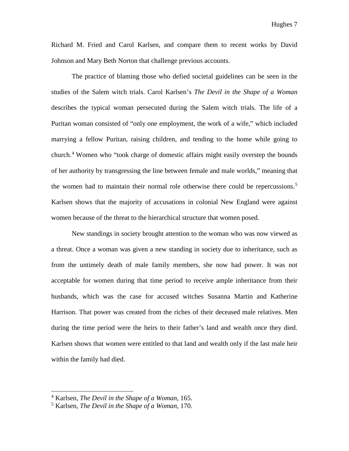Richard M. Fried and Carol Karlsen, and compare them to recent works by David Johnson and Mary Beth Norton that challenge previous accounts.

The practice of blaming those who defied societal guidelines can be seen in the studies of the Salem witch trials. Carol Karlsen's *The Devil in the Shape of a Woman* describes the typical woman persecuted during the Salem witch trials. The life of a Puritan woman consisted of "only one employment, the work of a wife," which included marrying a fellow Puritan, raising children, and tending to the home while going to church.[4](#page-7-0) Women who "took charge of domestic affairs might easily overstep the bounds of her authority by transgressing the line between female and male worlds," meaning that the women had to maintain their normal role otherwise there could be repercussions.<sup>[5](#page-7-1)</sup> Karlsen shows that the majority of accusations in colonial New England were against women because of the threat to the hierarchical structure that women posed.

New standings in society brought attention to the woman who was now viewed as a threat. Once a woman was given a new standing in society due to inheritance, such as from the untimely death of male family members, she now had power. It was not acceptable for women during that time period to receive ample inheritance from their husbands, which was the case for accused witches Susanna Martin and Katherine Harrison. That power was created from the riches of their deceased male relatives. Men during the time period were the heirs to their father's land and wealth once they died. Karlsen shows that women were entitled to that land and wealth only if the last male heir within the family had died.

<span id="page-7-0"></span><sup>4</sup> Karlsen, *The Devil in the Shape of a Woman,* 165.

<span id="page-7-1"></span><sup>5</sup> Karlsen, *The Devil in the Shape of a Woman,* 170.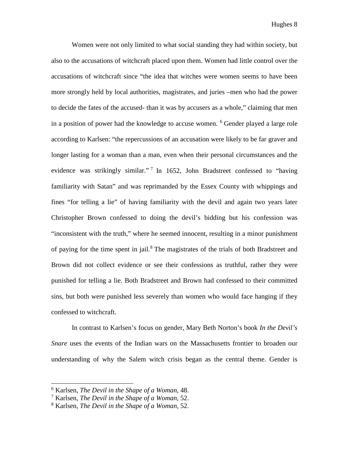Women were not only limited to what social standing they had within society, but also to the accusations of witchcraft placed upon them. Women had little control over the accusations of witchcraft since "the idea that witches were women seems to have been more strongly held by local authorities, magistrates, and juries –men who had the power to decide the fates of the accused- than it was by accusers as a whole," claiming that men in a position of power had the knowledge to accuse women. <sup>[6](#page-8-0)</sup> Gender played a large role according to Karlsen: "the repercussions of an accusation were likely to be far graver and longer lasting for a woman than a man, even when their personal circumstances and the evidence was strikingly similar."<sup>[7](#page-8-1)</sup> In 1652, John Bradstreet confessed to "having" familiarity with Satan" and was reprimanded by the Essex County with whippings and fines "for telling a lie" of having familiarity with the devil and again two years later Christopher Brown confessed to doing the devil's bidding but his confession was "inconsistent with the truth," where he seemed innocent, resulting in a minor punishment of paying for the time spent in jail.<sup>[8](#page-8-2)</sup> The magistrates of the trials of both Bradstreet and Brown did not collect evidence or see their confessions as truthful, rather they were punished for telling a lie. Both Bradstreet and Brown had confessed to their committed sins, but both were punished less severely than women who would face hanging if they confessed to witchcraft.

In contrast to Karlsen's focus on gender, Mary Beth Norton's book *In the Devil's Snare* uses the events of the Indian wars on the Massachusetts frontier to broaden our understanding of why the Salem witch crisis began as the central theme. Gender is

<span id="page-8-0"></span><sup>6</sup> Karlsen, *The Devil in the Shape of a Woman,* 48.

<span id="page-8-1"></span><sup>7</sup> Karlsen, *The Devil in the Shape of a Woman,* 52.

<span id="page-8-2"></span><sup>8</sup> Karlsen, *The Devil in the Shape of a Woman,* 52.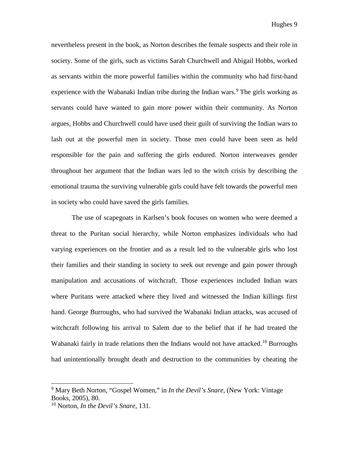nevertheless present in the book, as Norton describes the female suspects and their role in society. Some of the girls, such as victims Sarah Churchwell and Abigail Hobbs, worked as servants within the more powerful families within the community who had first-hand experience with the Wabanaki Indian tribe during the Indian wars.<sup>[9](#page-9-0)</sup> The girls working as servants could have wanted to gain more power within their community. As Norton argues, Hobbs and Churchwell could have used their guilt of surviving the Indian wars to lash out at the powerful men in society. Those men could have been seen as held responsible for the pain and suffering the girls endured. Norton interweaves gender throughout her argument that the Indian wars led to the witch crisis by describing the emotional trauma the surviving vulnerable girls could have felt towards the powerful men in society who could have saved the girls families.

The use of scapegoats in Karlsen's book focuses on women who were deemed a threat to the Puritan social hierarchy, while Norton emphasizes individuals who had varying experiences on the frontier and as a result led to the vulnerable girls who lost their families and their standing in society to seek out revenge and gain power through manipulation and accusations of witchcraft. Those experiences included Indian wars where Puritans were attacked where they lived and witnessed the Indian killings first hand. George Burroughs, who had survived the Wabanaki Indian attacks, was accused of witchcraft following his arrival to Salem due to the belief that if he had treated the Wabanaki fairly in trade relations then the Indians would not have attacked.<sup>[10](#page-9-1)</sup> Burroughs had unintentionally brought death and destruction to the communities by cheating the

<span id="page-9-0"></span><sup>9</sup> Mary Beth Norton, "Gospel Women," in *In the Devil's Snare,* (New York: Vintage Books, 2005), 80.

<span id="page-9-1"></span><sup>10</sup> Norton, *In the Devil's Snare,* 131.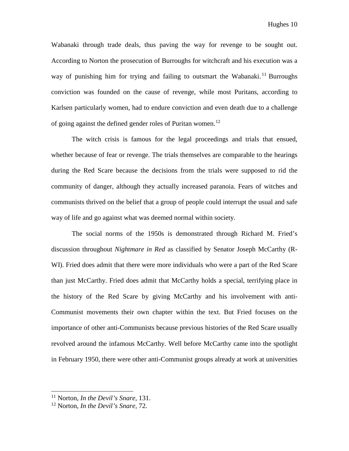Wabanaki through trade deals, thus paving the way for revenge to be sought out. According to Norton the prosecution of Burroughs for witchcraft and his execution was a way of punishing him for trying and failing to outsmart the Wabanaki.<sup>[11](#page-10-0)</sup> Burroughs conviction was founded on the cause of revenge, while most Puritans, according to Karlsen particularly women, had to endure conviction and even death due to a challenge of going against the defined gender roles of Puritan women.<sup>[12](#page-10-1)</sup>

The witch crisis is famous for the legal proceedings and trials that ensued, whether because of fear or revenge. The trials themselves are comparable to the hearings during the Red Scare because the decisions from the trials were supposed to rid the community of danger, although they actually increased paranoia. Fears of witches and communists thrived on the belief that a group of people could interrupt the usual and safe way of life and go against what was deemed normal within society.

The social norms of the 1950s is demonstrated through Richard M. Fried's discussion throughout *Nightmare in Red* as classified by Senator Joseph McCarthy (R-WI). Fried does admit that there were more individuals who were a part of the Red Scare than just McCarthy. Fried does admit that McCarthy holds a special, terrifying place in the history of the Red Scare by giving McCarthy and his involvement with anti-Communist movements their own chapter within the text. But Fried focuses on the importance of other anti-Communists because previous histories of the Red Scare usually revolved around the infamous McCarthy. Well before McCarthy came into the spotlight in February 1950, there were other anti-Communist groups already at work at universities

<span id="page-10-0"></span><sup>11</sup> Norton, *In the Devil's Snare,* 131.

<span id="page-10-1"></span><sup>12</sup> Norton, *In the Devil's Snare,* 72.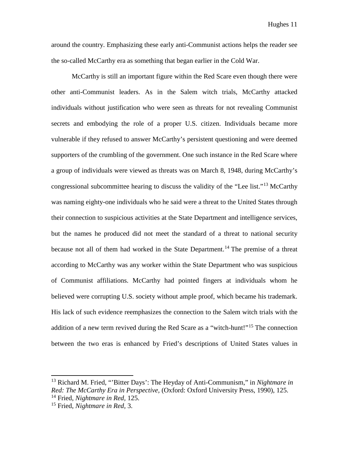around the country. Emphasizing these early anti-Communist actions helps the reader see the so-called McCarthy era as something that began earlier in the Cold War.

McCarthy is still an important figure within the Red Scare even though there were other anti-Communist leaders. As in the Salem witch trials, McCarthy attacked individuals without justification who were seen as threats for not revealing Communist secrets and embodying the role of a proper U.S. citizen. Individuals became more vulnerable if they refused to answer McCarthy's persistent questioning and were deemed supporters of the crumbling of the government. One such instance in the Red Scare where a group of individuals were viewed as threats was on March 8, 1948, during McCarthy's congressional subcommittee hearing to discuss the validity of the "Lee list."[13](#page-11-0) McCarthy was naming eighty-one individuals who he said were a threat to the United States through their connection to suspicious activities at the State Department and intelligence services, but the names he produced did not meet the standard of a threat to national security because not all of them had worked in the State Department.<sup>[14](#page-11-1)</sup> The premise of a threat according to McCarthy was any worker within the State Department who was suspicious of Communist affiliations. McCarthy had pointed fingers at individuals whom he believed were corrupting U.S. society without ample proof, which became his trademark. His lack of such evidence reemphasizes the connection to the Salem witch trials with the addition of a new term revived during the Red Scare as a "witch-hunt!"<sup>[15](#page-11-2)</sup> The connection between the two eras is enhanced by Fried's descriptions of United States values in

<span id="page-11-0"></span><sup>13</sup> Richard M. Fried, "'Bitter Days': The Heyday of Anti-Communism," in *Nightmare in Red: The McCarthy Era in Perspective,* (Oxford: Oxford University Press, 1990), 125. <sup>14</sup> Fried, *Nightmare in Red,* 125.

<span id="page-11-2"></span><span id="page-11-1"></span><sup>15</sup> Fried, *Nightmare in Red,* 3.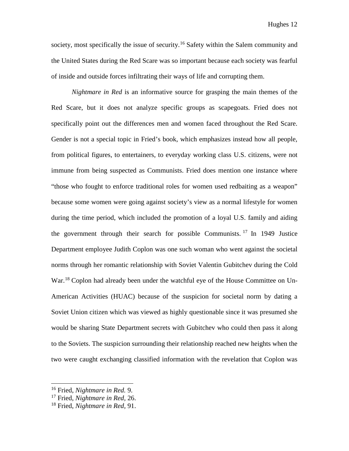Hughes 12

society, most specifically the issue of security.<sup>[16](#page-12-0)</sup> Safety within the Salem community and the United States during the Red Scare was so important because each society was fearful of inside and outside forces infiltrating their ways of life and corrupting them.

*Nightmare in Red* is an informative source for grasping the main themes of the Red Scare, but it does not analyze specific groups as scapegoats. Fried does not specifically point out the differences men and women faced throughout the Red Scare. Gender is not a special topic in Fried's book, which emphasizes instead how all people, from political figures, to entertainers, to everyday working class U.S. citizens, were not immune from being suspected as Communists. Fried does mention one instance where "those who fought to enforce traditional roles for women used redbaiting as a weapon" because some women were going against society's view as a normal lifestyle for women during the time period, which included the promotion of a loyal U.S. family and aiding the government through their search for possible Communists. [17](#page-12-1) In 1949 Justice Department employee Judith Coplon was one such woman who went against the societal norms through her romantic relationship with Soviet Valentin Gubitchev during the Cold War.<sup>[18](#page-12-2)</sup> Coplon had already been under the watchful eye of the House Committee on Un-American Activities (HUAC) because of the suspicion for societal norm by dating a Soviet Union citizen which was viewed as highly questionable since it was presumed she would be sharing State Department secrets with Gubitchev who could then pass it along to the Soviets. The suspicion surrounding their relationship reached new heights when the two were caught exchanging classified information with the revelation that Coplon was

<span id="page-12-0"></span><sup>16</sup> Fried, *Nightmare in Red.* 9.

<span id="page-12-1"></span><sup>17</sup> Fried, *Nightmare in Red,* 26.

<span id="page-12-2"></span><sup>18</sup> Fried, *Nightmare in Red,* 91.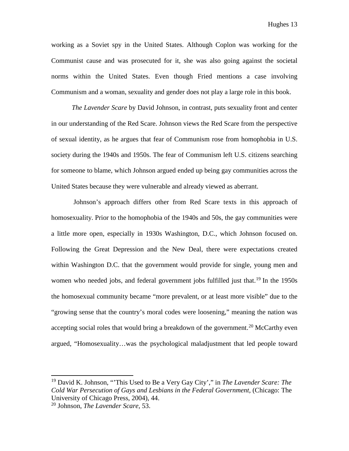working as a Soviet spy in the United States. Although Coplon was working for the Communist cause and was prosecuted for it, she was also going against the societal norms within the United States. Even though Fried mentions a case involving Communism and a woman, sexuality and gender does not play a large role in this book.

*The Lavender Scare* by David Johnson, in contrast, puts sexuality front and center in our understanding of the Red Scare. Johnson views the Red Scare from the perspective of sexual identity, as he argues that fear of Communism rose from homophobia in U.S. society during the 1940s and 1950s. The fear of Communism left U.S. citizens searching for someone to blame, which Johnson argued ended up being gay communities across the United States because they were vulnerable and already viewed as aberrant.

Johnson's approach differs other from Red Scare texts in this approach of homosexuality. Prior to the homophobia of the 1940s and 50s, the gay communities were a little more open, especially in 1930s Washington, D.C., which Johnson focused on. Following the Great Depression and the New Deal, there were expectations created within Washington D.C. that the government would provide for single, young men and women who needed jobs, and federal government jobs fulfilled just that.<sup>[19](#page-13-0)</sup> In the 1950s the homosexual community became "more prevalent, or at least more visible" due to the "growing sense that the country's moral codes were loosening," meaning the nation was accepting social roles that would bring a breakdown of the government.<sup>[20](#page-13-1)</sup> McCarthy even argued, "Homosexuality…was the psychological maladjustment that led people toward

<span id="page-13-0"></span><sup>19</sup> David K. Johnson, "'This Used to Be a Very Gay City'," in *The Lavender Scare: The Cold War Persecution of Gays and Lesbians in the Federal Government,* (Chicago: The University of Chicago Press, 2004), 44.

<span id="page-13-1"></span><sup>20</sup> Johnson, *The Lavender Scare,* 53.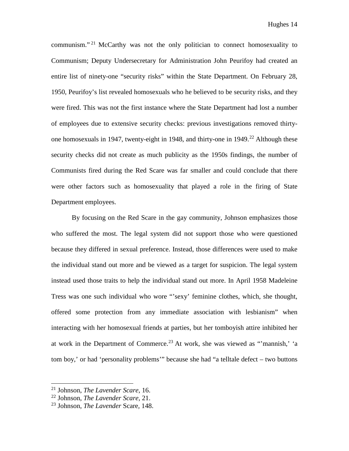communism."<sup>[21](#page-14-0)</sup> McCarthy was not the only politician to connect homosexuality to Communism; Deputy Undersecretary for Administration John Peurifoy had created an entire list of ninety-one "security risks" within the State Department. On February 28, 1950, Peurifoy's list revealed homosexuals who he believed to be security risks, and they were fired. This was not the first instance where the State Department had lost a number of employees due to extensive security checks: previous investigations removed thirtyone homosexuals in 1947, twenty-eight in 1948, and thirty-one in 1949. [22](#page-14-1) Although these security checks did not create as much publicity as the 1950s findings, the number of Communists fired during the Red Scare was far smaller and could conclude that there were other factors such as homosexuality that played a role in the firing of State Department employees.

By focusing on the Red Scare in the gay community, Johnson emphasizes those who suffered the most. The legal system did not support those who were questioned because they differed in sexual preference. Instead, those differences were used to make the individual stand out more and be viewed as a target for suspicion. The legal system instead used those traits to help the individual stand out more. In April 1958 Madeleine Tress was one such individual who wore "'sexy' feminine clothes, which, she thought, offered some protection from any immediate association with lesbianism" when interacting with her homosexual friends at parties, but her tomboyish attire inhibited her at work in the Department of Commerce. [23](#page-14-2) At work, she was viewed as "'mannish,' 'a tom boy,' or had 'personality problems'" because she had "a telltale defect – two buttons

<span id="page-14-0"></span><sup>21</sup> Johnson, *The Lavender Scare*, 16.

<span id="page-14-1"></span><sup>22</sup> Johnson, *The Lavender Scare,* 21.

<span id="page-14-2"></span><sup>23</sup> Johnson, *The Lavender* Scare*,* 148.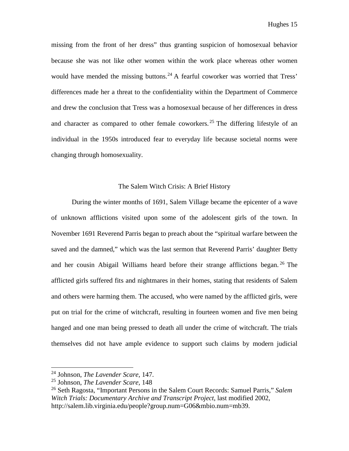missing from the front of her dress" thus granting suspicion of homosexual behavior because she was not like other women within the work place whereas other women would have mended the missing buttons.<sup>[24](#page-15-0)</sup> A fearful coworker was worried that Tress' differences made her a threat to the confidentiality within the Department of Commerce and drew the conclusion that Tress was a homosexual because of her differences in dress and character as compared to other female coworkers.<sup>[25](#page-15-1)</sup> The differing lifestyle of an individual in the 1950s introduced fear to everyday life because societal norms were changing through homosexuality.

## The Salem Witch Crisis: A Brief History

During the winter months of 1691, Salem Village became the epicenter of a wave of unknown afflictions visited upon some of the adolescent girls of the town. In November 1691 Reverend Parris began to preach about the "spiritual warfare between the saved and the damned," which was the last sermon that Reverend Parris' daughter Betty and her cousin Abigail Williams heard before their strange afflictions began. [26](#page-15-2) The afflicted girls suffered fits and nightmares in their homes, stating that residents of Salem and others were harming them. The accused, who were named by the afflicted girls, were put on trial for the crime of witchcraft, resulting in fourteen women and five men being hanged and one man being pressed to death all under the crime of witchcraft. The trials themselves did not have ample evidence to support such claims by modern judicial

<span id="page-15-0"></span><sup>24</sup> Johnson, *The Lavender Scare,* 147.

<span id="page-15-1"></span><sup>25</sup> Johnson, *The Lavender Scare,* 148

<span id="page-15-2"></span><sup>26</sup> Seth Ragosta, "Important Persons in the Salem Court Records: Samuel Parris," *Salem Witch Trials: Documentary Archive and Transcript Project*, last modified 2002, http://salem.lib.virginia.edu/people?group.num=G06&mbio.num=mb39.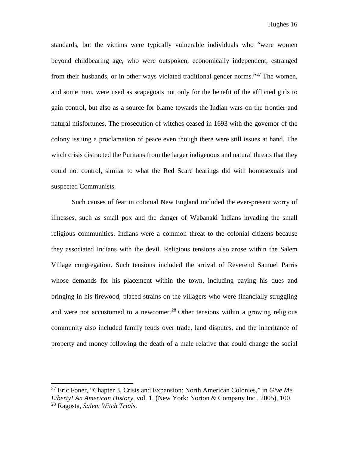standards, but the victims were typically vulnerable individuals who "were women beyond childbearing age, who were outspoken, economically independent, estranged from their husbands, or in other ways violated traditional gender norms."<sup>[27](#page-16-0)</sup> The women, and some men, were used as scapegoats not only for the benefit of the afflicted girls to gain control, but also as a source for blame towards the Indian wars on the frontier and natural misfortunes. The prosecution of witches ceased in 1693 with the governor of the colony issuing a proclamation of peace even though there were still issues at hand. The witch crisis distracted the Puritans from the larger indigenous and natural threats that they could not control, similar to what the Red Scare hearings did with homosexuals and suspected Communists.

Such causes of fear in colonial New England included the ever-present worry of illnesses, such as small pox and the danger of Wabanaki Indians invading the small religious communities. Indians were a common threat to the colonial citizens because they associated Indians with the devil. Religious tensions also arose within the Salem Village congregation. Such tensions included the arrival of Reverend Samuel Parris whose demands for his placement within the town, including paying his dues and bringing in his firewood, placed strains on the villagers who were financially struggling and were not accustomed to a newcomer. [28](#page-16-1) Other tensions within a growing religious community also included family feuds over trade, land disputes, and the inheritance of property and money following the death of a male relative that could change the social

<span id="page-16-1"></span><span id="page-16-0"></span><sup>27</sup> Eric Foner, "Chapter 3, Crisis and Expansion: North American Colonies," in *Give Me Liberty! An American History*, vol. 1. (New York: Norton & Company Inc., 2005), 100. <sup>28</sup> Ragosta, *Salem Witch Trials.*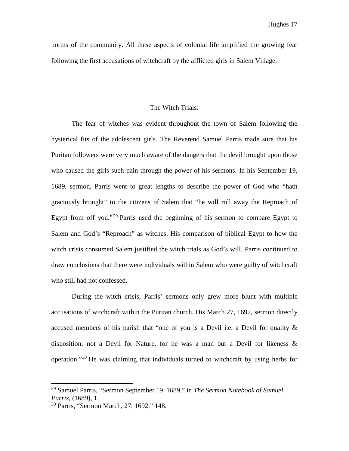norms of the community. All these aspects of colonial life amplified the growing fear following the first accusations of witchcraft by the afflicted girls in Salem Village.

### The Witch Trials:

The fear of witches was evident throughout the town of Salem following the hysterical fits of the adolescent girls. The Reverend Samuel Parris made sure that his Puritan followers were very much aware of the dangers that the devil brought upon those who caused the girls such pain through the power of his sermons. In his September 19, 1689, sermon, Parris went to great lengths to describe the power of God who "hath graciously brought" to the citizens of Salem that "he will roll away the Reproach of Egypt from off you."<sup>[29](#page-17-0)</sup> Parris used the beginning of his sermon to compare Egypt to Salem and God's "Reproach" as witches. His comparison of biblical Egypt to how the witch crisis consumed Salem justified the witch trials as God's will. Parris continued to draw conclusions that there were individuals within Salem who were guilty of witchcraft who still had not confessed.

During the witch crisis, Parris' sermons only grew more blunt with multiple accusations of witchcraft within the Puritan church. His March 27, 1692, sermon directly accused members of his parish that "one of you is a Devil i.e. a Devil for quality & disposition: not a Devil for Nature, for he was a man but a Devil for likeness & operation."[30](#page-17-1) He was claiming that individuals turned to witchcraft by using herbs for

<span id="page-17-0"></span><sup>29</sup> Samuel Parris, "Sermon September 19, 1689," in *The Sermon Notebook of Samuel Parris,* (1689), 1.

<span id="page-17-1"></span><sup>30</sup> Parris, "Sermon March, 27, 1692," 148.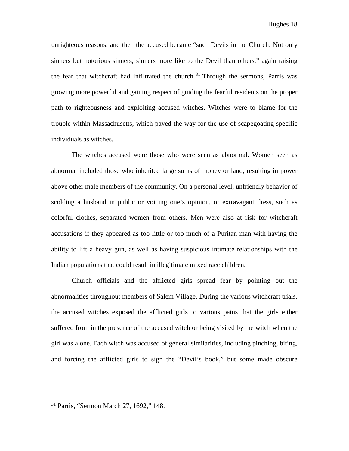unrighteous reasons, and then the accused became "such Devils in the Church: Not only sinners but notorious sinners; sinners more like to the Devil than others," again raising the fear that witchcraft had infiltrated the church.<sup>[31](#page-18-0)</sup> Through the sermons, Parris was growing more powerful and gaining respect of guiding the fearful residents on the proper path to righteousness and exploiting accused witches. Witches were to blame for the trouble within Massachusetts, which paved the way for the use of scapegoating specific individuals as witches.

The witches accused were those who were seen as abnormal. Women seen as abnormal included those who inherited large sums of money or land, resulting in power above other male members of the community. On a personal level, unfriendly behavior of scolding a husband in public or voicing one's opinion, or extravagant dress, such as colorful clothes, separated women from others. Men were also at risk for witchcraft accusations if they appeared as too little or too much of a Puritan man with having the ability to lift a heavy gun, as well as having suspicious intimate relationships with the Indian populations that could result in illegitimate mixed race children.

Church officials and the afflicted girls spread fear by pointing out the abnormalities throughout members of Salem Village. During the various witchcraft trials, the accused witches exposed the afflicted girls to various pains that the girls either suffered from in the presence of the accused witch or being visited by the witch when the girl was alone. Each witch was accused of general similarities, including pinching, biting, and forcing the afflicted girls to sign the "Devil's book," but some made obscure

<span id="page-18-0"></span><sup>31</sup> Parris, "Sermon March 27, 1692," 148.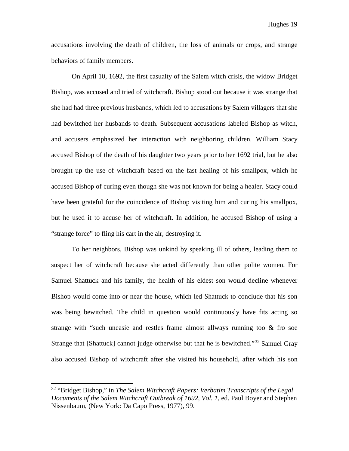accusations involving the death of children, the loss of animals or crops, and strange behaviors of family members.

On April 10, 1692, the first casualty of the Salem witch crisis, the widow Bridget Bishop, was accused and tried of witchcraft. Bishop stood out because it was strange that she had had three previous husbands, which led to accusations by Salem villagers that she had bewitched her husbands to death. Subsequent accusations labeled Bishop as witch, and accusers emphasized her interaction with neighboring children. William Stacy accused Bishop of the death of his daughter two years prior to her 1692 trial, but he also brought up the use of witchcraft based on the fast healing of his smallpox, which he accused Bishop of curing even though she was not known for being a healer. Stacy could have been grateful for the coincidence of Bishop visiting him and curing his smallpox, but he used it to accuse her of witchcraft. In addition, he accused Bishop of using a "strange force" to fling his cart in the air, destroying it.

To her neighbors, Bishop was unkind by speaking ill of others, leading them to suspect her of witchcraft because she acted differently than other polite women. For Samuel Shattuck and his family, the health of his eldest son would decline whenever Bishop would come into or near the house, which led Shattuck to conclude that his son was being bewitched. The child in question would continuously have fits acting so strange with "such uneasie and restles frame almost allways running too  $\&$  fro soe Strange that [Shattuck] cannot judge otherwise but that he is bewitched."<sup>[32](#page-19-0)</sup> Samuel Gray also accused Bishop of witchcraft after she visited his household, after which his son

<span id="page-19-0"></span><sup>32</sup> "Bridget Bishop," in *The Salem Witchcraft Papers: Verbatim Transcripts of the Legal Documents of the Salem Witchcraft Outbreak of 1692, Vol. 1,* ed. Paul Boyer and Stephen Nissenbaum, (New York: Da Capo Press, 1977), 99.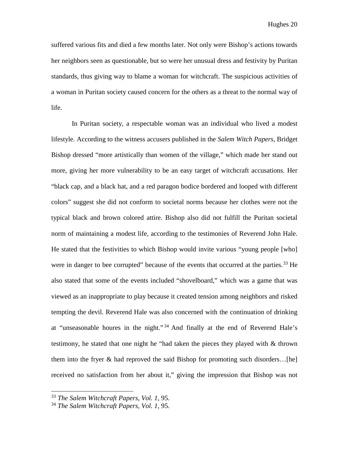suffered various fits and died a few months later. Not only were Bishop's actions towards her neighbors seen as questionable, but so were her unusual dress and festivity by Puritan standards, thus giving way to blame a woman for witchcraft. The suspicious activities of a woman in Puritan society caused concern for the others as a threat to the normal way of life.

In Puritan society, a respectable woman was an individual who lived a modest lifestyle. According to the witness accusers published in the *Salem Witch Papers,* Bridget Bishop dressed "more artistically than women of the village," which made her stand out more, giving her more vulnerability to be an easy target of witchcraft accusations. Her "black cap, and a black hat, and a red paragon bodice bordered and looped with different colors" suggest she did not conform to societal norms because her clothes were not the typical black and brown colored attire. Bishop also did not fulfill the Puritan societal norm of maintaining a modest life, according to the testimonies of Reverend John Hale. He stated that the festivities to which Bishop would invite various "young people [who] were in danger to bee corrupted" because of the events that occurred at the parties.<sup>[33](#page-20-0)</sup> He also stated that some of the events included "shovelboard," which was a game that was viewed as an inappropriate to play because it created tension among neighbors and risked tempting the devil. Reverend Hale was also concerned with the continuation of drinking at "unseasonable houres in the night." [34](#page-20-1) And finally at the end of Reverend Hale's testimony, he stated that one night he "had taken the pieces they played with & thrown them into the fryer & had reproved the said Bishop for promoting such disorders…[he] received no satisfaction from her about it," giving the impression that Bishop was not

<span id="page-20-0"></span><sup>33</sup> *The Salem Witchcraft Papers, Vol. 1,* 95.

<span id="page-20-1"></span><sup>34</sup> *The Salem Witchcraft Papers, Vol. 1,* 95.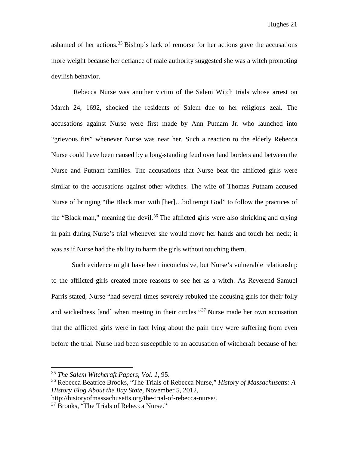ashamed of her actions.<sup>[35](#page-21-0)</sup> Bishop's lack of remorse for her actions gave the accusations more weight because her defiance of male authority suggested she was a witch promoting devilish behavior.

Rebecca Nurse was another victim of the Salem Witch trials whose arrest on March 24, 1692, shocked the residents of Salem due to her religious zeal. The accusations against Nurse were first made by Ann Putnam Jr. who launched into "grievous fits" whenever Nurse was near her. Such a reaction to the elderly Rebecca Nurse could have been caused by a long-standing feud over land borders and between the Nurse and Putnam families. The accusations that Nurse beat the afflicted girls were similar to the accusations against other witches. The wife of Thomas Putnam accused Nurse of bringing "the Black man with [her]…bid tempt God" to follow the practices of the "Black man," meaning the devil.<sup>[36](#page-21-1)</sup> The afflicted girls were also shrieking and crying in pain during Nurse's trial whenever she would move her hands and touch her neck; it was as if Nurse had the ability to harm the girls without touching them.

Such evidence might have been inconclusive, but Nurse's vulnerable relationship to the afflicted girls created more reasons to see her as a witch. As Reverend Samuel Parris stated, Nurse "had several times severely rebuked the accusing girls for their folly and wickedness [and] when meeting in their circles."[37](#page-21-2) Nurse made her own accusation that the afflicted girls were in fact lying about the pain they were suffering from even before the trial. Nurse had been susceptible to an accusation of witchcraft because of her

<span id="page-21-0"></span><sup>35</sup> *The Salem Witchcraft Papers, Vol. 1,* 95.

<span id="page-21-1"></span><sup>36</sup> Rebecca Beatrice Brooks, "The Trials of Rebecca Nurse," *History of Massachusetts: A History Blog About the Bay State,* November 5, 2012,

http://historyofmassachusetts.org/the-trial-of-rebecca-nurse/.

<span id="page-21-2"></span><sup>&</sup>lt;sup>37</sup> Brooks, "The Trials of Rebecca Nurse."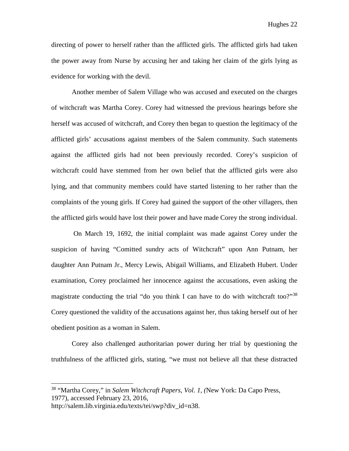Hughes 22

directing of power to herself rather than the afflicted girls. The afflicted girls had taken the power away from Nurse by accusing her and taking her claim of the girls lying as evidence for working with the devil.

Another member of Salem Village who was accused and executed on the charges of witchcraft was Martha Corey. Corey had witnessed the previous hearings before she herself was accused of witchcraft, and Corey then began to question the legitimacy of the afflicted girls' accusations against members of the Salem community. Such statements against the afflicted girls had not been previously recorded. Corey's suspicion of witchcraft could have stemmed from her own belief that the afflicted girls were also lying, and that community members could have started listening to her rather than the complaints of the young girls. If Corey had gained the support of the other villagers, then the afflicted girls would have lost their power and have made Corey the strong individual.

On March 19, 1692, the initial complaint was made against Corey under the suspicion of having "Comitted sundry acts of Witchcraft" upon Ann Putnam, her daughter Ann Putnam Jr., Mercy Lewis, Abigail Williams, and Elizabeth Hubert. Under examination, Corey proclaimed her innocence against the accusations, even asking the magistrate conducting the trial "do you think I can have to do with witchcraft too?"<sup>[38](#page-22-0)</sup> Corey questioned the validity of the accusations against her, thus taking herself out of her obedient position as a woman in Salem.

Corey also challenged authoritarian power during her trial by questioning the truthfulness of the afflicted girls, stating, "we must not believe all that these distracted

<span id="page-22-0"></span><sup>38</sup> "Martha Corey," in *Salem Witchcraft Papers, Vol. 1, (*New York: Da Capo Press, 1977), accessed February 23, 2016,

http://salem.lib.virginia.edu/texts/tei/swp?div\_id=n38.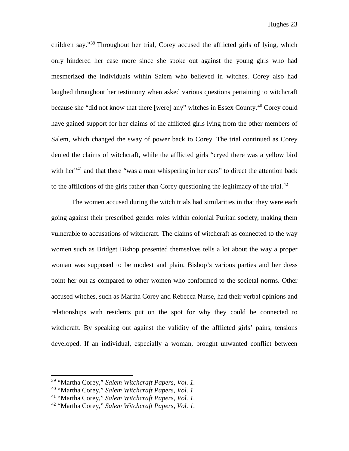children say."<sup>[39](#page-23-0)</sup> Throughout her trial, Corey accused the afflicted girls of lying, which only hindered her case more since she spoke out against the young girls who had mesmerized the individuals within Salem who believed in witches. Corey also had laughed throughout her testimony when asked various questions pertaining to witchcraft because she "did not know that there [were] any" witches in Essex County.[40](#page-23-1) Corey could have gained support for her claims of the afflicted girls lying from the other members of Salem, which changed the sway of power back to Corey. The trial continued as Corey denied the claims of witchcraft, while the afflicted girls "cryed there was a yellow bird with her $1<sup>41</sup>$  $1<sup>41</sup>$  $1<sup>41</sup>$  and that there "was a man whispering in her ears" to direct the attention back to the afflictions of the girls rather than Corey questioning the legitimacy of the trial.<sup>[42](#page-23-3)</sup>

The women accused during the witch trials had similarities in that they were each going against their prescribed gender roles within colonial Puritan society, making them vulnerable to accusations of witchcraft. The claims of witchcraft as connected to the way women such as Bridget Bishop presented themselves tells a lot about the way a proper woman was supposed to be modest and plain. Bishop's various parties and her dress point her out as compared to other women who conformed to the societal norms. Other accused witches, such as Martha Corey and Rebecca Nurse, had their verbal opinions and relationships with residents put on the spot for why they could be connected to witchcraft. By speaking out against the validity of the afflicted girls' pains, tensions developed. If an individual, especially a woman, brought unwanted conflict between

<span id="page-23-0"></span><sup>39</sup> "Martha Corey," *Salem Witchcraft Papers, Vol. 1.*

<span id="page-23-1"></span><sup>40</sup> "Martha Corey," *Salem Witchcraft Papers, Vol. 1.*

<span id="page-23-2"></span><sup>41</sup> "Martha Corey," *Salem Witchcraft Papers, Vol. 1.*

<span id="page-23-3"></span><sup>42</sup> "Martha Corey," *Salem Witchcraft Papers, Vol. 1.*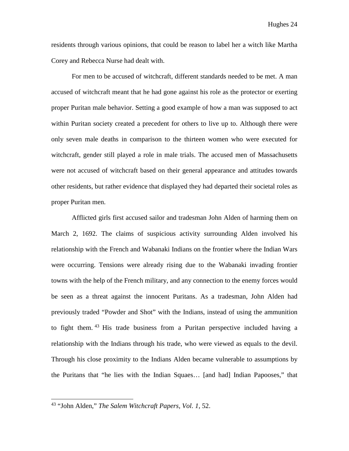residents through various opinions, that could be reason to label her a witch like Martha Corey and Rebecca Nurse had dealt with.

For men to be accused of witchcraft, different standards needed to be met. A man accused of witchcraft meant that he had gone against his role as the protector or exerting proper Puritan male behavior. Setting a good example of how a man was supposed to act within Puritan society created a precedent for others to live up to. Although there were only seven male deaths in comparison to the thirteen women who were executed for witchcraft, gender still played a role in male trials. The accused men of Massachusetts were not accused of witchcraft based on their general appearance and attitudes towards other residents, but rather evidence that displayed they had departed their societal roles as proper Puritan men.

Afflicted girls first accused sailor and tradesman John Alden of harming them on March 2, 1692. The claims of suspicious activity surrounding Alden involved his relationship with the French and Wabanaki Indians on the frontier where the Indian Wars were occurring. Tensions were already rising due to the Wabanaki invading frontier towns with the help of the French military, and any connection to the enemy forces would be seen as a threat against the innocent Puritans. As a tradesman, John Alden had previously traded "Powder and Shot" with the Indians, instead of using the ammunition to fight them. [43](#page-24-0) His trade business from a Puritan perspective included having a relationship with the Indians through his trade, who were viewed as equals to the devil. Through his close proximity to the Indians Alden became vulnerable to assumptions by the Puritans that "he lies with the Indian Squaes… [and had] Indian Papooses," that

<span id="page-24-0"></span><sup>43</sup> "John Alden," *The Salem Witchcraft Papers, Vol. 1,* 52.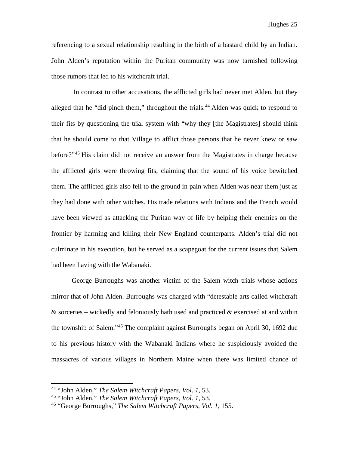referencing to a sexual relationship resulting in the birth of a bastard child by an Indian. John Alden's reputation within the Puritan community was now tarnished following those rumors that led to his witchcraft trial.

In contrast to other accusations, the afflicted girls had never met Alden, but they alleged that he "did pinch them," throughout the trials.<sup>[44](#page-25-0)</sup> Alden was quick to respond to their fits by questioning the trial system with "why they [the Magistrates] should think that he should come to that Village to afflict those persons that he never knew or saw before?"[45](#page-25-1) His claim did not receive an answer from the Magistrates in charge because the afflicted girls were throwing fits, claiming that the sound of his voice bewitched them. The afflicted girls also fell to the ground in pain when Alden was near them just as they had done with other witches. His trade relations with Indians and the French would have been viewed as attacking the Puritan way of life by helping their enemies on the frontier by harming and killing their New England counterparts. Alden's trial did not culminate in his execution, but he served as a scapegoat for the current issues that Salem had been having with the Wabanaki.

George Burroughs was another victim of the Salem witch trials whose actions mirror that of John Alden. Burroughs was charged with "detestable arts called witchcraft  $\&$  sorceries – wickedly and feloniously hath used and practiced  $\&$  exercised at and within the township of Salem."[46](#page-25-2) The complaint against Burroughs began on April 30, 1692 due to his previous history with the Wabanaki Indians where he suspiciously avoided the massacres of various villages in Northern Maine when there was limited chance of

<span id="page-25-0"></span><sup>44</sup> "John Alden," *The Salem Witchcraft Papers, Vol. 1,* 53.

<span id="page-25-1"></span><sup>45</sup> "John Alden," *The Salem Witchcraft Papers, Vol. 1,* 53.

<span id="page-25-2"></span><sup>46</sup> "George Burroughs," *The Salem Witchcraft Papers, Vol. 1,* 155.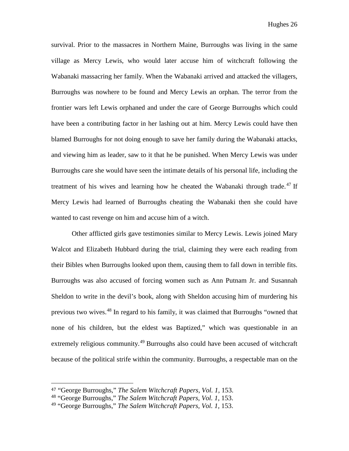survival. Prior to the massacres in Northern Maine, Burroughs was living in the same village as Mercy Lewis, who would later accuse him of witchcraft following the Wabanaki massacring her family. When the Wabanaki arrived and attacked the villagers, Burroughs was nowhere to be found and Mercy Lewis an orphan. The terror from the frontier wars left Lewis orphaned and under the care of George Burroughs which could have been a contributing factor in her lashing out at him. Mercy Lewis could have then blamed Burroughs for not doing enough to save her family during the Wabanaki attacks, and viewing him as leader, saw to it that he be punished. When Mercy Lewis was under Burroughs care she would have seen the intimate details of his personal life, including the treatment of his wives and learning how he cheated the Wabanaki through trade.<sup>[47](#page-26-0)</sup> If Mercy Lewis had learned of Burroughs cheating the Wabanaki then she could have wanted to cast revenge on him and accuse him of a witch.

Other afflicted girls gave testimonies similar to Mercy Lewis. Lewis joined Mary Walcot and Elizabeth Hubbard during the trial, claiming they were each reading from their Bibles when Burroughs looked upon them, causing them to fall down in terrible fits. Burroughs was also accused of forcing women such as Ann Putnam Jr. and Susannah Sheldon to write in the devil's book, along with Sheldon accusing him of murdering his previous two wives.[48](#page-26-1) In regard to his family, it was claimed that Burroughs "owned that none of his children, but the eldest was Baptized," which was questionable in an extremely religious community.<sup>[49](#page-26-2)</sup> Burroughs also could have been accused of witchcraft because of the political strife within the community. Burroughs, a respectable man on the

<span id="page-26-0"></span> <sup>47</sup> "George Burroughs," *The Salem Witchcraft Papers, Vol. 1,* 153.

<span id="page-26-1"></span><sup>48</sup> "George Burroughs," *The Salem Witchcraft Papers, Vol. 1,* 153.

<span id="page-26-2"></span><sup>49</sup> "George Burroughs," *The Salem Witchcraft Papers, Vol. 1,* 153.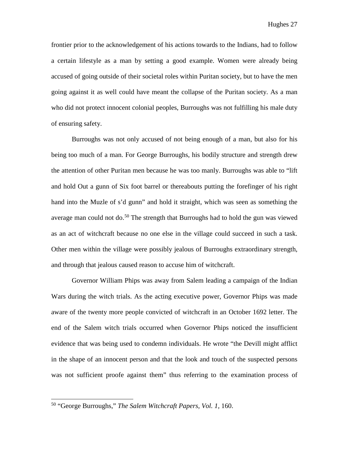frontier prior to the acknowledgement of his actions towards to the Indians, had to follow a certain lifestyle as a man by setting a good example. Women were already being accused of going outside of their societal roles within Puritan society, but to have the men going against it as well could have meant the collapse of the Puritan society. As a man who did not protect innocent colonial peoples, Burroughs was not fulfilling his male duty of ensuring safety.

Burroughs was not only accused of not being enough of a man, but also for his being too much of a man. For George Burroughs, his bodily structure and strength drew the attention of other Puritan men because he was too manly. Burroughs was able to "lift and hold Out a gunn of Six foot barrel or thereabouts putting the forefinger of his right hand into the Muzle of s'd gunn" and hold it straight, which was seen as something the average man could not do.<sup>[50](#page-27-0)</sup> The strength that Burroughs had to hold the gun was viewed as an act of witchcraft because no one else in the village could succeed in such a task. Other men within the village were possibly jealous of Burroughs extraordinary strength, and through that jealous caused reason to accuse him of witchcraft.

Governor William Phips was away from Salem leading a campaign of the Indian Wars during the witch trials. As the acting executive power, Governor Phips was made aware of the twenty more people convicted of witchcraft in an October 1692 letter. The end of the Salem witch trials occurred when Governor Phips noticed the insufficient evidence that was being used to condemn individuals. He wrote "the Devill might afflict in the shape of an innocent person and that the look and touch of the suspected persons was not sufficient proofe against them" thus referring to the examination process of

<span id="page-27-0"></span><sup>50</sup> "George Burroughs," *The Salem Witchcraft Papers, Vol. 1,* 160.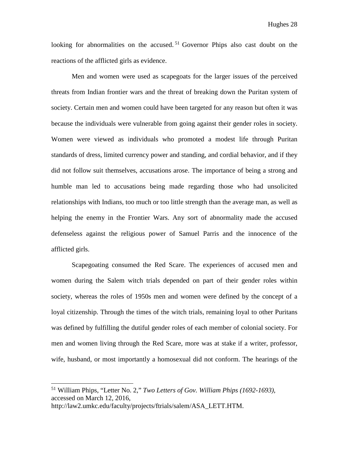looking for abnormalities on the accused.<sup>[51](#page-28-0)</sup> Governor Phips also cast doubt on the reactions of the afflicted girls as evidence.

Men and women were used as scapegoats for the larger issues of the perceived threats from Indian frontier wars and the threat of breaking down the Puritan system of society. Certain men and women could have been targeted for any reason but often it was because the individuals were vulnerable from going against their gender roles in society. Women were viewed as individuals who promoted a modest life through Puritan standards of dress, limited currency power and standing, and cordial behavior, and if they did not follow suit themselves, accusations arose. The importance of being a strong and humble man led to accusations being made regarding those who had unsolicited relationships with Indians, too much or too little strength than the average man, as well as helping the enemy in the Frontier Wars. Any sort of abnormality made the accused defenseless against the religious power of Samuel Parris and the innocence of the afflicted girls.

Scapegoating consumed the Red Scare. The experiences of accused men and women during the Salem witch trials depended on part of their gender roles within society, whereas the roles of 1950s men and women were defined by the concept of a loyal citizenship. Through the times of the witch trials, remaining loyal to other Puritans was defined by fulfilling the dutiful gender roles of each member of colonial society. For men and women living through the Red Scare, more was at stake if a writer, professor, wife, husband, or most importantly a homosexual did not conform. The hearings of the

<span id="page-28-0"></span><sup>51</sup> William Phips, "Letter No. 2," *Two Letters of Gov. William Phips (1692-1693),*  accessed on March 12, 2016,

http://law2.umkc.edu/faculty/projects/ftrials/salem/ASA\_LETT.HTM.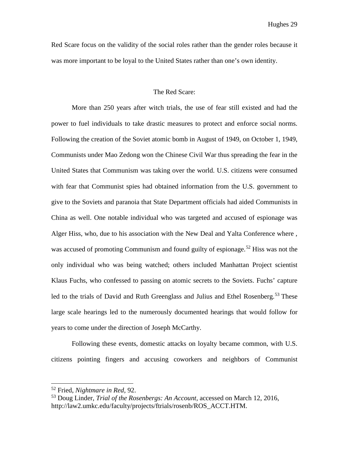Red Scare focus on the validity of the social roles rather than the gender roles because it was more important to be loyal to the United States rather than one's own identity.

#### The Red Scare:

More than 250 years after witch trials, the use of fear still existed and had the power to fuel individuals to take drastic measures to protect and enforce social norms. Following the creation of the Soviet atomic bomb in August of 1949, on October 1, 1949, Communists under Mao Zedong won the Chinese Civil War thus spreading the fear in the United States that Communism was taking over the world. U.S. citizens were consumed with fear that Communist spies had obtained information from the U.S. government to give to the Soviets and paranoia that State Department officials had aided Communists in China as well. One notable individual who was targeted and accused of espionage was Alger Hiss, who, due to his association with the New Deal and Yalta Conference where , was accused of promoting Communism and found guilty of espionage.<sup>[52](#page-29-0)</sup> Hiss was not the only individual who was being watched; others included Manhattan Project scientist Klaus Fuchs, who confessed to passing on atomic secrets to the Soviets. Fuchs' capture led to the trials of David and Ruth Greenglass and Julius and Ethel Rosenberg.<sup>[53](#page-29-1)</sup> These large scale hearings led to the numerously documented hearings that would follow for years to come under the direction of Joseph McCarthy.

Following these events, domestic attacks on loyalty became common, with U.S. citizens pointing fingers and accusing coworkers and neighbors of Communist

<span id="page-29-0"></span><sup>52</sup> Fried, *Nightmare in Red,* 92.

<span id="page-29-1"></span><sup>53</sup> Doug Linder, *Trial of the Rosenbergs: An Account,* accessed on March 12, 2016, http://law2.umkc.edu/faculty/projects/ftrials/rosenb/ROS\_ACCT.HTM.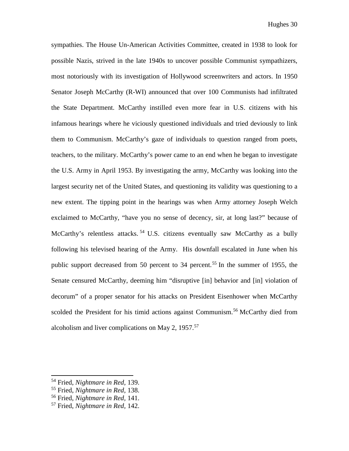sympathies. The House Un-American Activities Committee, created in 1938 to look for possible Nazis, strived in the late 1940s to uncover possible Communist sympathizers, most notoriously with its investigation of Hollywood screenwriters and actors. In 1950 Senator Joseph McCarthy (R-WI) announced that over 100 Communists had infiltrated the State Department. McCarthy instilled even more fear in U.S. citizens with his infamous hearings where he viciously questioned individuals and tried deviously to link them to Communism. McCarthy's gaze of individuals to question ranged from poets, teachers, to the military. McCarthy's power came to an end when he began to investigate the U.S. Army in April 1953. By investigating the army, McCarthy was looking into the largest security net of the United States, and questioning its validity was questioning to a new extent. The tipping point in the hearings was when Army attorney Joseph Welch exclaimed to McCarthy, "have you no sense of decency, sir, at long last?" because of McCarthy's relentless attacks.<sup>[54](#page-30-0)</sup> U.S. citizens eventually saw McCarthy as a bully following his televised hearing of the Army. His downfall escalated in June when his public support decreased from 50 percent to 34 percent.<sup>[55](#page-30-1)</sup> In the summer of 1955, the Senate censured McCarthy, deeming him "disruptive [in] behavior and [in] violation of decorum" of a proper senator for his attacks on President Eisenhower when McCarthy scolded the President for his timid actions against Communism.<sup>[56](#page-30-2)</sup> McCarthy died from alcoholism and liver complications on May 2,  $1957$  $1957$ .<sup>57</sup>

<span id="page-30-0"></span><sup>54</sup> Fried, *Nightmare in Red,* 139.

<span id="page-30-1"></span><sup>55</sup> Fried, *Nightmare in Red,* 138.

<span id="page-30-2"></span><sup>56</sup> Fried, *Nightmare in Red,* 141.

<span id="page-30-3"></span><sup>57</sup> Fried, *Nightmare in Red,* 142.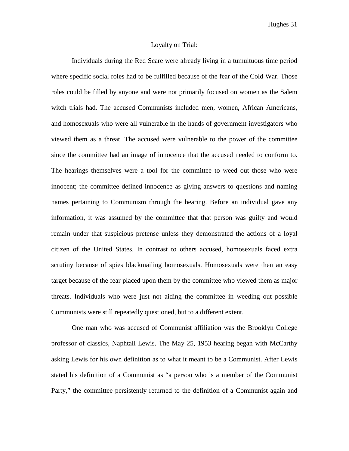Hughes 31

#### Loyalty on Trial:

Individuals during the Red Scare were already living in a tumultuous time period where specific social roles had to be fulfilled because of the fear of the Cold War. Those roles could be filled by anyone and were not primarily focused on women as the Salem witch trials had. The accused Communists included men, women, African Americans, and homosexuals who were all vulnerable in the hands of government investigators who viewed them as a threat. The accused were vulnerable to the power of the committee since the committee had an image of innocence that the accused needed to conform to. The hearings themselves were a tool for the committee to weed out those who were innocent; the committee defined innocence as giving answers to questions and naming names pertaining to Communism through the hearing. Before an individual gave any information, it was assumed by the committee that that person was guilty and would remain under that suspicious pretense unless they demonstrated the actions of a loyal citizen of the United States. In contrast to others accused, homosexuals faced extra scrutiny because of spies blackmailing homosexuals. Homosexuals were then an easy target because of the fear placed upon them by the committee who viewed them as major threats. Individuals who were just not aiding the committee in weeding out possible Communists were still repeatedly questioned, but to a different extent.

One man who was accused of Communist affiliation was the Brooklyn College professor of classics, Naphtali Lewis. The May 25, 1953 hearing began with McCarthy asking Lewis for his own definition as to what it meant to be a Communist. After Lewis stated his definition of a Communist as "a person who is a member of the Communist Party," the committee persistently returned to the definition of a Communist again and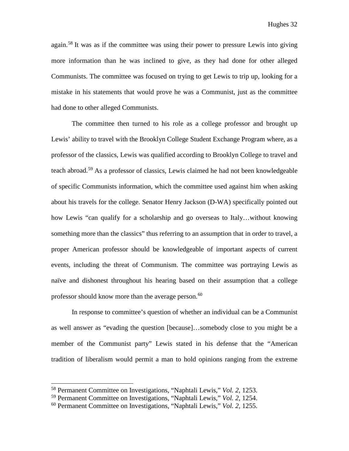again.<sup>[58](#page-32-0)</sup> It was as if the committee was using their power to pressure Lewis into giving more information than he was inclined to give, as they had done for other alleged Communists. The committee was focused on trying to get Lewis to trip up, looking for a mistake in his statements that would prove he was a Communist, just as the committee had done to other alleged Communists.

The committee then turned to his role as a college professor and brought up Lewis' ability to travel with the Brooklyn College Student Exchange Program where, as a professor of the classics, Lewis was qualified according to Brooklyn College to travel and teach abroad. [59](#page-32-1) As a professor of classics, Lewis claimed he had not been knowledgeable of specific Communists information, which the committee used against him when asking about his travels for the college. Senator Henry Jackson (D-WA) specifically pointed out how Lewis "can qualify for a scholarship and go overseas to Italy…without knowing something more than the classics" thus referring to an assumption that in order to travel, a proper American professor should be knowledgeable of important aspects of current events, including the threat of Communism. The committee was portraying Lewis as naïve and dishonest throughout his hearing based on their assumption that a college professor should know more than the average person. [60](#page-32-2)

In response to committee's question of whether an individual can be a Communist as well answer as "evading the question [because]…somebody close to you might be a member of the Communist party" Lewis stated in his defense that the "American tradition of liberalism would permit a man to hold opinions ranging from the extreme

<span id="page-32-0"></span><sup>58</sup> Permanent Committee on Investigations, "Naphtali Lewis," *Vol. 2,* 1253.

<span id="page-32-1"></span><sup>59</sup> Permanent Committee on Investigations, "Naphtali Lewis," *Vol. 2,* 1254.

<span id="page-32-2"></span><sup>60</sup> Permanent Committee on Investigations, "Naphtali Lewis," *Vol. 2,* 1255.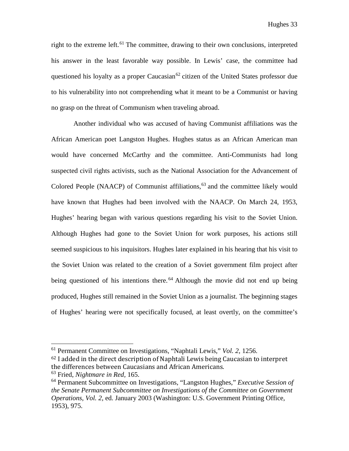right to the extreme left.<sup>[61](#page-33-0)</sup> The committee, drawing to their own conclusions, interpreted his answer in the least favorable way possible. In Lewis' case, the committee had questioned his loyalty as a proper Caucasian<sup>[62](#page-33-1)</sup> citizen of the United States professor due to his vulnerability into not comprehending what it meant to be a Communist or having no grasp on the threat of Communism when traveling abroad.

Another individual who was accused of having Communist affiliations was the African American poet Langston Hughes. Hughes status as an African American man would have concerned McCarthy and the committee. Anti-Communists had long suspected civil rights activists, such as the National Association for the Advancement of Colored People (NAACP) of Communist affiliations, [63](#page-33-2) and the committee likely would have known that Hughes had been involved with the NAACP. On March 24, 1953, Hughes' hearing began with various questions regarding his visit to the Soviet Union. Although Hughes had gone to the Soviet Union for work purposes, his actions still seemed suspicious to his inquisitors. Hughes later explained in his hearing that his visit to the Soviet Union was related to the creation of a Soviet government film project after being questioned of his intentions there.<sup>[64](#page-33-3)</sup> Although the movie did not end up being produced, Hughes still remained in the Soviet Union as a journalist. The beginning stages of Hughes' hearing were not specifically focused, at least overtly, on the committee's

<span id="page-33-1"></span><sup>62</sup> I added in the direct description of Naphtali Lewis being Caucasian to interpret the differences between Caucasians and African Americans.

<span id="page-33-0"></span><sup>61</sup> Permanent Committee on Investigations, "Naphtali Lewis," *Vol. 2,* 1256.

<span id="page-33-2"></span><sup>63</sup> Fried, *Nightmare in Red,* 165.

<span id="page-33-3"></span><sup>64</sup> Permanent Subcommittee on Investigations, "Langston Hughes," *Executive Session of the Senate Permanent Subcommittee on Investigations of the Committee on Government Operations, Vol. 2,* ed. January 2003 (Washington: U.S. Government Printing Office, 1953), 975.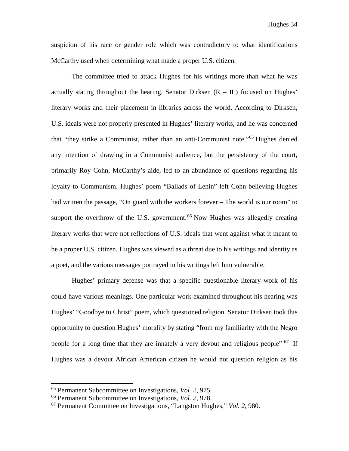suspicion of his race or gender role which was contradictory to what identifications McCarthy used when determining what made a proper U.S. citizen.

The committee tried to attack Hughes for his writings more than what he was actually stating throughout the hearing. Senator Dirksen  $(R - IL)$  focused on Hughes' literary works and their placement in libraries across the world. According to Dirksen, U.S. ideals were not properly presented in Hughes' literary works, and he was concerned that "they strike a Communist, rather than an anti-Communist note."[65](#page-34-0) Hughes denied any intention of drawing in a Communist audience, but the persistency of the court, primarily Roy Cohn, McCarthy's aide, led to an abundance of questions regarding his loyalty to Communism. Hughes' poem "Ballads of Lenin" left Cohn believing Hughes had written the passage, "On guard with the workers forever – The world is our room" to support the overthrow of the U.S. government.<sup>[66](#page-34-1)</sup> Now Hughes was allegedly creating literary works that were not reflections of U.S. ideals that went against what it meant to be a proper U.S. citizen. Hughes was viewed as a threat due to his writings and identity as a poet, and the various messages portrayed in his writings left him vulnerable.

Hughes' primary defense was that a specific questionable literary work of his could have various meanings. One particular work examined throughout his hearing was Hughes' "Goodbye to Christ" poem, which questioned religion. Senator Dirksen took this opportunity to question Hughes' morality by stating "from my familiarity with the Negro people for a long time that they are innately a very devout and religious people" <sup>67</sup> If Hughes was a devout African American citizen he would not question religion as his

<span id="page-34-0"></span><sup>65</sup> Permanent Subcommittee on Investigations, *Vol. 2,* 975.

<span id="page-34-1"></span><sup>66</sup> Permanent Subcommittee on Investigations, *Vol. 2,* 978.

<span id="page-34-2"></span><sup>67</sup> Permanent Committee on Investigations, "Langston Hughes," *Vol. 2,* 980.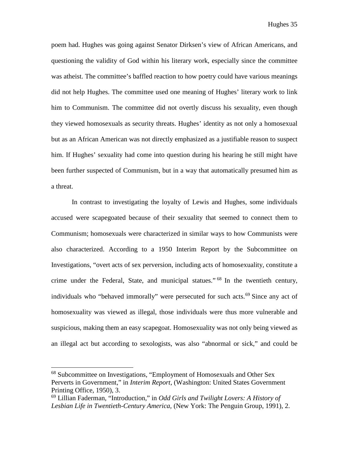poem had. Hughes was going against Senator Dirksen's view of African Americans, and questioning the validity of God within his literary work, especially since the committee was atheist. The committee's baffled reaction to how poetry could have various meanings did not help Hughes. The committee used one meaning of Hughes' literary work to link him to Communism. The committee did not overtly discuss his sexuality, even though they viewed homosexuals as security threats. Hughes' identity as not only a homosexual but as an African American was not directly emphasized as a justifiable reason to suspect him. If Hughes' sexuality had come into question during his hearing he still might have been further suspected of Communism, but in a way that automatically presumed him as a threat.

In contrast to investigating the loyalty of Lewis and Hughes, some individuals accused were scapegoated because of their sexuality that seemed to connect them to Communism; homosexuals were characterized in similar ways to how Communists were also characterized. According to a 1950 Interim Report by the Subcommittee on Investigations, "overt acts of sex perversion, including acts of homosexuality, constitute a crime under the Federal, State, and municipal statues." [68](#page-35-0) In the twentieth century, individuals who "behaved immorally" were persecuted for such acts.<sup>[69](#page-35-1)</sup> Since any act of homosexuality was viewed as illegal, those individuals were thus more vulnerable and suspicious, making them an easy scapegoat. Homosexuality was not only being viewed as an illegal act but according to sexologists, was also "abnormal or sick," and could be

<span id="page-35-0"></span><sup>68</sup> Subcommittee on Investigations, "Employment of Homosexuals and Other Sex Perverts in Government," in *Interim Report*, (Washington: United States Government Printing Office, 1950), 3.

<span id="page-35-1"></span><sup>69</sup> Lillian Faderman, "Introduction," in *Odd Girls and Twilight Lovers: A History of Lesbian Life in Twentieth-Century America,* (New York: The Penguin Group, 1991), 2.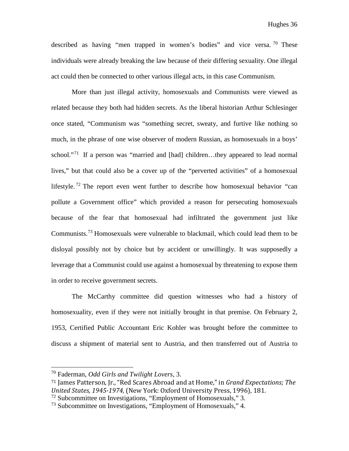described as having "men trapped in women's bodies" and vice versa.  $\frac{70}{10}$  $\frac{70}{10}$  $\frac{70}{10}$  These individuals were already breaking the law because of their differing sexuality. One illegal act could then be connected to other various illegal acts, in this case Communism.

More than just illegal activity, homosexuals and Communists were viewed as related because they both had hidden secrets. As the liberal historian Arthur Schlesinger once stated, "Communism was "something secret, sweaty, and furtive like nothing so much, in the phrase of one wise observer of modern Russian, as homosexuals in a boys' school."<sup>[71](#page-36-1)</sup> If a person was "married and [had] children...they appeared to lead normal lives," but that could also be a cover up of the "perverted activities" of a homosexual lifestyle.<sup>[72](#page-36-2)</sup> The report even went further to describe how homosexual behavior "can pollute a Government office" which provided a reason for persecuting homosexuals because of the fear that homosexual had infiltrated the government just like Communists. [73](#page-36-3) Homosexuals were vulnerable to blackmail, which could lead them to be disloyal possibly not by choice but by accident or unwillingly. It was supposedly a leverage that a Communist could use against a homosexual by threatening to expose them in order to receive government secrets.

The McCarthy committee did question witnesses who had a history of homosexuality, even if they were not initially brought in that premise. On February 2, 1953, Certified Public Accountant Eric Kohler was brought before the committee to discuss a shipment of material sent to Austria, and then transferred out of Austria to

<span id="page-36-0"></span><sup>70</sup> Faderman, *Odd Girls and Twilight Lovers,* 3.

<span id="page-36-1"></span><sup>71</sup> James Patterson, Jr., "Red Scares Abroad and at Home," in *Grand Expectations; The United States, 1945-1974,* (New York: Oxford University Press, 1996), 181.

<span id="page-36-2"></span> $72$  Subcommittee on Investigations, "Employment of Homosexuals," 3.

<span id="page-36-3"></span><sup>73</sup> Subcommittee on Investigations, "Employment of Homosexuals," 4.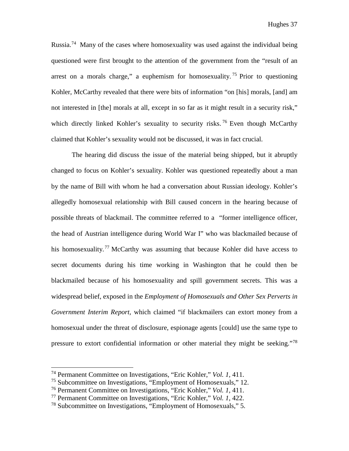Russia.<sup>[74](#page-37-0)</sup> Many of the cases where homosexuality was used against the individual being questioned were first brought to the attention of the government from the "result of an arrest on a morals charge," a euphemism for homosexuality.<sup>[75](#page-37-1)</sup> Prior to questioning Kohler, McCarthy revealed that there were bits of information "on [his] morals, [and] am not interested in [the] morals at all, except in so far as it might result in a security risk," which directly linked Kohler's sexuality to security risks.<sup>[76](#page-37-2)</sup> Even though McCarthy claimed that Kohler's sexuality would not be discussed, it was in fact crucial.

The hearing did discuss the issue of the material being shipped, but it abruptly changed to focus on Kohler's sexuality. Kohler was questioned repeatedly about a man by the name of Bill with whom he had a conversation about Russian ideology. Kohler's allegedly homosexual relationship with Bill caused concern in the hearing because of possible threats of blackmail. The committee referred to a "former intelligence officer, the head of Austrian intelligence during World War I" who was blackmailed because of his homosexuality.<sup>[77](#page-37-3)</sup> McCarthy was assuming that because Kohler did have access to secret documents during his time working in Washington that he could then be blackmailed because of his homosexuality and spill government secrets. This was a widespread belief, exposed in the *Employment of Homosexuals and Other Sex Perverts in Government Interim Report,* which claimed "if blackmailers can extort money from a homosexual under the threat of disclosure, espionage agents [could] use the same type to pressure to extort confidential information or other material they might be seeking."[78](#page-37-4)

<span id="page-37-0"></span><sup>74</sup> Permanent Committee on Investigations, "Eric Kohler," *Vol. 1,* 411.

<span id="page-37-1"></span><sup>75</sup> Subcommittee on Investigations, "Employment of Homosexuals," 12.

<span id="page-37-2"></span><sup>76</sup> Permanent Committee on Investigations, "Eric Kohler," *Vol. 1,* 411.

<span id="page-37-3"></span><sup>77</sup> Permanent Committee on Investigations, "Eric Kohler," *Vol. 1,* 422.

<span id="page-37-4"></span><sup>78</sup> Subcommittee on Investigations, "Employment of Homosexuals," 5.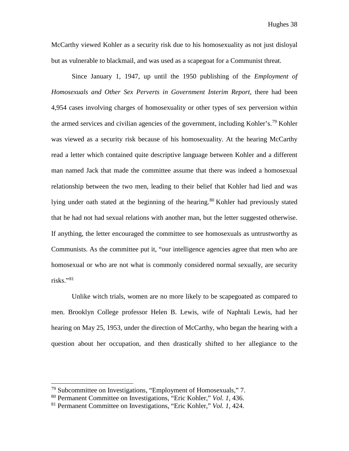McCarthy viewed Kohler as a security risk due to his homosexuality as not just disloyal but as vulnerable to blackmail, and was used as a scapegoat for a Communist threat.

Since January 1, 1947, up until the 1950 publishing of the *Employment of Homosexuals and Other Sex Perverts in Government Interim Report,* there had been 4,954 cases involving charges of homosexuality or other types of sex perversion within the armed services and civilian agencies of the government, including Kohler's.<sup>[79](#page-38-0)</sup> Kohler was viewed as a security risk because of his homosexuality. At the hearing McCarthy read a letter which contained quite descriptive language between Kohler and a different man named Jack that made the committee assume that there was indeed a homosexual relationship between the two men, leading to their belief that Kohler had lied and was lying under oath stated at the beginning of the hearing.<sup>[80](#page-38-1)</sup> Kohler had previously stated that he had not had sexual relations with another man, but the letter suggested otherwise. If anything, the letter encouraged the committee to see homosexuals as untrustworthy as Communists. As the committee put it, "our intelligence agencies agree that men who are homosexual or who are not what is commonly considered normal sexually, are security risks."[81](#page-38-2)

Unlike witch trials, women are no more likely to be scapegoated as compared to men. Brooklyn College professor Helen B. Lewis, wife of Naphtali Lewis, had her hearing on May 25, 1953, under the direction of McCarthy, who began the hearing with a question about her occupation, and then drastically shifted to her allegiance to the

<span id="page-38-0"></span><sup>79</sup> Subcommittee on Investigations, "Employment of Homosexuals," 7.

<span id="page-38-1"></span><sup>80</sup> Permanent Committee on Investigations, "Eric Kohler," *Vol. 1,* 436.

<span id="page-38-2"></span><sup>81</sup> Permanent Committee on Investigations, "Eric Kohler," *Vol. 1,* 424.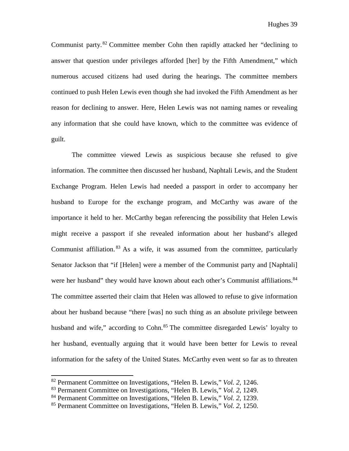Communist party.<sup>[82](#page-39-0)</sup> Committee member Cohn then rapidly attacked her "declining to answer that question under privileges afforded [her] by the Fifth Amendment," which numerous accused citizens had used during the hearings. The committee members continued to push Helen Lewis even though she had invoked the Fifth Amendment as her reason for declining to answer. Here, Helen Lewis was not naming names or revealing any information that she could have known, which to the committee was evidence of guilt.

The committee viewed Lewis as suspicious because she refused to give information. The committee then discussed her husband, Naphtali Lewis, and the Student Exchange Program. Helen Lewis had needed a passport in order to accompany her husband to Europe for the exchange program, and McCarthy was aware of the importance it held to her. McCarthy began referencing the possibility that Helen Lewis might receive a passport if she revealed information about her husband's alleged Communist affiliation.<sup>[83](#page-39-1)</sup> As a wife, it was assumed from the committee, particularly Senator Jackson that "if [Helen] were a member of the Communist party and [Naphtali] were her husband" they would have known about each other's Communist affiliations.<sup>[84](#page-39-2)</sup> The committee asserted their claim that Helen was allowed to refuse to give information about her husband because "there [was] no such thing as an absolute privilege between husband and wife," according to Cohn.<sup>[85](#page-39-3)</sup> The committee disregarded Lewis' loyalty to her husband, eventually arguing that it would have been better for Lewis to reveal information for the safety of the United States. McCarthy even went so far as to threaten

<span id="page-39-0"></span><sup>82</sup> Permanent Committee on Investigations, "Helen B. Lewis," *Vol. 2,* 1246.

<span id="page-39-1"></span><sup>83</sup> Permanent Committee on Investigations, "Helen B. Lewis," *Vol. 2,* 1249.

<span id="page-39-2"></span><sup>84</sup> Permanent Committee on Investigations, "Helen B. Lewis," *Vol. 2,* 1239.

<span id="page-39-3"></span><sup>85</sup> Permanent Committee on Investigations, "Helen B. Lewis," *Vol. 2,* 1250.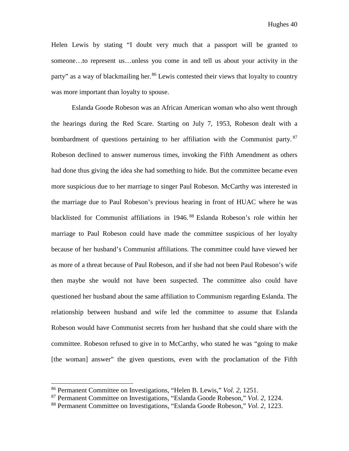Helen Lewis by stating "I doubt very much that a passport will be granted to someone…to represent us…unless you come in and tell us about your activity in the party" as a way of blackmailing her.<sup>[86](#page-40-0)</sup> Lewis contested their views that loyalty to country was more important than loyalty to spouse.

Eslanda Goode Robeson was an African American woman who also went through the hearings during the Red Scare. Starting on July 7, 1953, Robeson dealt with a bombardment of questions pertaining to her affiliation with the Communist party. <sup>[87](#page-40-1)</sup> Robeson declined to answer numerous times, invoking the Fifth Amendment as others had done thus giving the idea she had something to hide. But the committee became even more suspicious due to her marriage to singer Paul Robeson. McCarthy was interested in the marriage due to Paul Robeson's previous hearing in front of HUAC where he was blacklisted for Communist affiliations in 1946. [88](#page-40-2) Eslanda Robeson's role within her marriage to Paul Robeson could have made the committee suspicious of her loyalty because of her husband's Communist affiliations. The committee could have viewed her as more of a threat because of Paul Robeson, and if she had not been Paul Robeson's wife then maybe she would not have been suspected. The committee also could have questioned her husband about the same affiliation to Communism regarding Eslanda. The relationship between husband and wife led the committee to assume that Eslanda Robeson would have Communist secrets from her husband that she could share with the committee. Robeson refused to give in to McCarthy, who stated he was "going to make [the woman] answer" the given questions, even with the proclamation of the Fifth

<span id="page-40-0"></span><sup>86</sup> Permanent Committee on Investigations, "Helen B. Lewis," *Vol. 2,* 1251.

<span id="page-40-1"></span><sup>87</sup> Permanent Committee on Investigations, "Eslanda Goode Robeson," *Vol. 2,* 1224.

<span id="page-40-2"></span><sup>88</sup> Permanent Committee on Investigations, "Eslanda Goode Robeson," *Vol. 2,* 1223.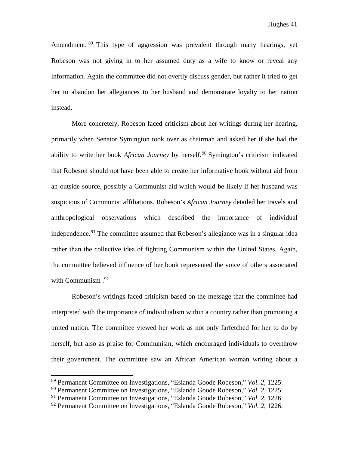Amendment. <sup>[89](#page-41-0)</sup> This type of aggression was prevalent through many hearings, yet Robeson was not giving in to her assumed duty as a wife to know or reveal any information. Again the committee did not overtly discuss gender, but rather it tried to get her to abandon her allegiances to her husband and demonstrate loyalty to her nation instead.

More concretely, Robeson faced criticism about her writings during her hearing, primarily when Senator Symington took over as chairman and asked her if she had the ability to write her book *African Journey* by herself.<sup>[90](#page-41-1)</sup> Symington's criticism indicated that Robeson should not have been able to create her informative book without aid from an outside source, possibly a Communist aid which would be likely if her husband was suspicious of Communist affiliations. Robeson's *African Journey* detailed her travels and anthropological observations which described the importance of individual independence. [91](#page-41-2) The committee assumed that Robeson's allegiance was in a singular idea rather than the collective idea of fighting Communism within the United States. Again, the committee believed influence of her book represented the voice of others associated with Communism . [92](#page-41-3)

Robeson's writings faced criticism based on the message that the committee had interpreted with the importance of individualism within a country rather than promoting a united nation. The committee viewed her work as not only farfetched for her to do by herself, but also as praise for Communism, which encouraged individuals to overthrow their government. The committee saw an African American woman writing about a

<span id="page-41-0"></span><sup>89</sup> Permanent Committee on Investigations, "Eslanda Goode Robeson," *Vol. 2,* 1225.

<span id="page-41-1"></span><sup>90</sup> Permanent Committee on Investigations, "Eslanda Goode Robeson," *Vol. 2,* 1225.

<span id="page-41-2"></span><sup>91</sup> Permanent Committee on Investigations, "Eslanda Goode Robeson," *Vol. 2,* 1226.

<span id="page-41-3"></span><sup>92</sup> Permanent Committee on Investigations, "Eslanda Goode Robeson," *Vol. 2,* 1226.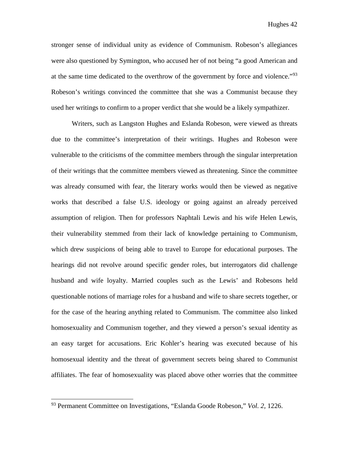stronger sense of individual unity as evidence of Communism. Robeson's allegiances were also questioned by Symington, who accused her of not being "a good American and at the same time dedicated to the overthrow of the government by force and violence."<sup>[93](#page-42-0)</sup> Robeson's writings convinced the committee that she was a Communist because they used her writings to confirm to a proper verdict that she would be a likely sympathizer.

Writers, such as Langston Hughes and Eslanda Robeson, were viewed as threats due to the committee's interpretation of their writings. Hughes and Robeson were vulnerable to the criticisms of the committee members through the singular interpretation of their writings that the committee members viewed as threatening. Since the committee was already consumed with fear, the literary works would then be viewed as negative works that described a false U.S. ideology or going against an already perceived assumption of religion. Then for professors Naphtali Lewis and his wife Helen Lewis, their vulnerability stemmed from their lack of knowledge pertaining to Communism, which drew suspicions of being able to travel to Europe for educational purposes. The hearings did not revolve around specific gender roles, but interrogators did challenge husband and wife loyalty. Married couples such as the Lewis' and Robesons held questionable notions of marriage roles for a husband and wife to share secrets together, or for the case of the hearing anything related to Communism. The committee also linked homosexuality and Communism together, and they viewed a person's sexual identity as an easy target for accusations. Eric Kohler's hearing was executed because of his homosexual identity and the threat of government secrets being shared to Communist affiliates. The fear of homosexuality was placed above other worries that the committee

<span id="page-42-0"></span><sup>93</sup> Permanent Committee on Investigations, "Eslanda Goode Robeson," *Vol. 2,* 1226.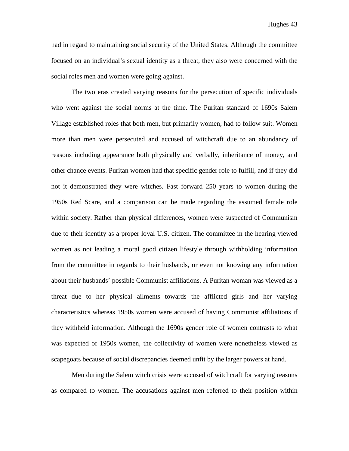Hughes 43

had in regard to maintaining social security of the United States. Although the committee focused on an individual's sexual identity as a threat, they also were concerned with the social roles men and women were going against.

The two eras created varying reasons for the persecution of specific individuals who went against the social norms at the time. The Puritan standard of 1690s Salem Village established roles that both men, but primarily women, had to follow suit. Women more than men were persecuted and accused of witchcraft due to an abundancy of reasons including appearance both physically and verbally, inheritance of money, and other chance events. Puritan women had that specific gender role to fulfill, and if they did not it demonstrated they were witches. Fast forward 250 years to women during the 1950s Red Scare, and a comparison can be made regarding the assumed female role within society. Rather than physical differences, women were suspected of Communism due to their identity as a proper loyal U.S. citizen. The committee in the hearing viewed women as not leading a moral good citizen lifestyle through withholding information from the committee in regards to their husbands, or even not knowing any information about their husbands' possible Communist affiliations. A Puritan woman was viewed as a threat due to her physical ailments towards the afflicted girls and her varying characteristics whereas 1950s women were accused of having Communist affiliations if they withheld information. Although the 1690s gender role of women contrasts to what was expected of 1950s women, the collectivity of women were nonetheless viewed as scapegoats because of social discrepancies deemed unfit by the larger powers at hand.

Men during the Salem witch crisis were accused of witchcraft for varying reasons as compared to women. The accusations against men referred to their position within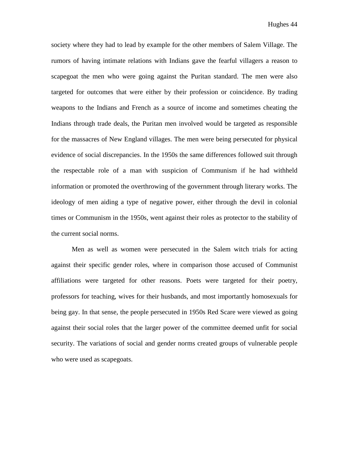society where they had to lead by example for the other members of Salem Village. The rumors of having intimate relations with Indians gave the fearful villagers a reason to scapegoat the men who were going against the Puritan standard. The men were also targeted for outcomes that were either by their profession or coincidence. By trading weapons to the Indians and French as a source of income and sometimes cheating the Indians through trade deals, the Puritan men involved would be targeted as responsible for the massacres of New England villages. The men were being persecuted for physical evidence of social discrepancies. In the 1950s the same differences followed suit through the respectable role of a man with suspicion of Communism if he had withheld information or promoted the overthrowing of the government through literary works. The ideology of men aiding a type of negative power, either through the devil in colonial times or Communism in the 1950s, went against their roles as protector to the stability of the current social norms.

Men as well as women were persecuted in the Salem witch trials for acting against their specific gender roles, where in comparison those accused of Communist affiliations were targeted for other reasons. Poets were targeted for their poetry, professors for teaching, wives for their husbands, and most importantly homosexuals for being gay. In that sense, the people persecuted in 1950s Red Scare were viewed as going against their social roles that the larger power of the committee deemed unfit for social security. The variations of social and gender norms created groups of vulnerable people who were used as scapegoats.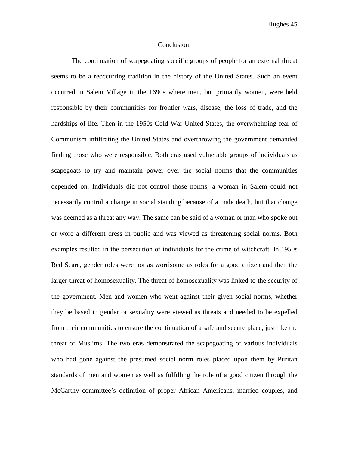Hughes 45

#### Conclusion:

The continuation of scapegoating specific groups of people for an external threat seems to be a reoccurring tradition in the history of the United States. Such an event occurred in Salem Village in the 1690s where men, but primarily women, were held responsible by their communities for frontier wars, disease, the loss of trade, and the hardships of life. Then in the 1950s Cold War United States, the overwhelming fear of Communism infiltrating the United States and overthrowing the government demanded finding those who were responsible. Both eras used vulnerable groups of individuals as scapegoats to try and maintain power over the social norms that the communities depended on. Individuals did not control those norms; a woman in Salem could not necessarily control a change in social standing because of a male death, but that change was deemed as a threat any way. The same can be said of a woman or man who spoke out or wore a different dress in public and was viewed as threatening social norms. Both examples resulted in the persecution of individuals for the crime of witchcraft. In 1950s Red Scare, gender roles were not as worrisome as roles for a good citizen and then the larger threat of homosexuality. The threat of homosexuality was linked to the security of the government. Men and women who went against their given social norms, whether they be based in gender or sexuality were viewed as threats and needed to be expelled from their communities to ensure the continuation of a safe and secure place, just like the threat of Muslims. The two eras demonstrated the scapegoating of various individuals who had gone against the presumed social norm roles placed upon them by Puritan standards of men and women as well as fulfilling the role of a good citizen through the McCarthy committee's definition of proper African Americans, married couples, and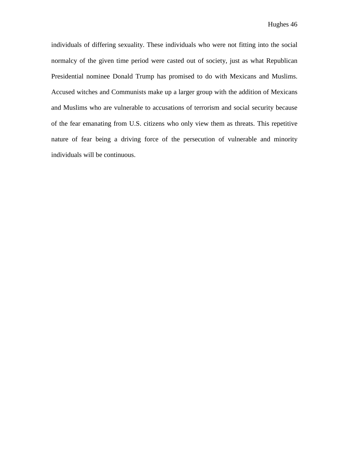individuals of differing sexuality. These individuals who were not fitting into the social normalcy of the given time period were casted out of society, just as what Republican Presidential nominee Donald Trump has promised to do with Mexicans and Muslims. Accused witches and Communists make up a larger group with the addition of Mexicans and Muslims who are vulnerable to accusations of terrorism and social security because of the fear emanating from U.S. citizens who only view them as threats. This repetitive nature of fear being a driving force of the persecution of vulnerable and minority individuals will be continuous.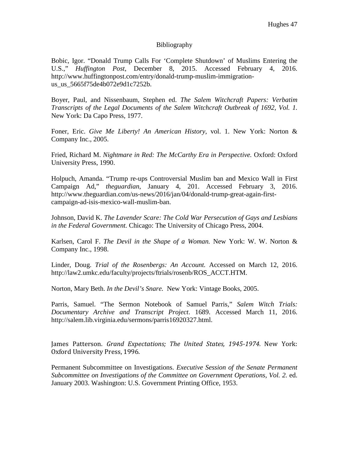## Bibliography

Bobic, Igor. "Donald Trump Calls For 'Complete Shutdown' of Muslims Entering the U.S.," *Huffington Post*, December 8, 2015. Accessed February 4, 2016. http://www.huffingtonpost.com/entry/donald-trump-muslim-immigrationus\_us\_5665f75de4b072e9d1c7252b.

Boyer, Paul, and Nissenbaum, Stephen ed. *The Salem Witchcraft Papers: Verbatim Transcripts of the Legal Documents of the Salem Witchcraft Outbreak of 1692, Vol. 1.* New York: Da Capo Press, 1977.

Foner, Eric. *Give Me Liberty! An American History*, vol. 1. New York: Norton & Company Inc., 2005.

Fried, Richard M. *Nightmare in Red: The McCarthy Era in Perspective.* Oxford: Oxford University Press, 1990.

Holpuch, Amanda. "Trump re-ups Controversial Muslim ban and Mexico Wall in First Campaign Ad," *theguardian*, January 4, 201. Accessed February 3, 2016. http://www.theguardian.com/us-news/2016/jan/04/donald-trump-great-again-firstcampaign-ad-isis-mexico-wall-muslim-ban.

Johnson, David K. *The Lavender Scare: The Cold War Persecution of Gays and Lesbians in the Federal Government.* Chicago: The University of Chicago Press, 2004.

Karlsen, Carol F. *The Devil in the Shape of a Woman.* New York: W. W. Norton & Company Inc., 1998.

Linder, Doug. *Trial of the Rosenbergs: An Account.* Accessed on March 12, 2016. http://law2.umkc.edu/faculty/projects/ftrials/rosenb/ROS\_ACCT.HTM.

Norton, Mary Beth. *In the Devil's Snare.* New York: Vintage Books, 2005.

Parris, Samuel. "The Sermon Notebook of Samuel Parris*,*" *Salem Witch Trials: Documentary Archive and Transcript Project*. 1689. Accessed March 11, 2016. http://salem.lib.virginia.edu/sermons/parris16920327.html.

James Patterson. *Grand Expectations; The United States, 1945-1974.* New York: Oxford University Press, 1996.

Permanent Subcommittee on Investigations. *Executive Session of the Senate Permanent Subcommittee on Investigations of the Committee on Government Operations, Vol. 2. ed.* January 2003. Washington: U.S. Government Printing Office, 1953.